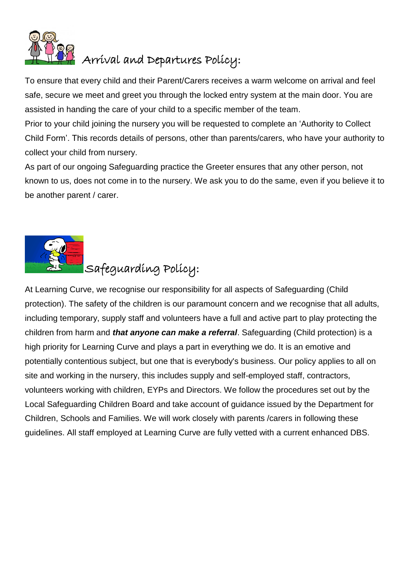

## ended and Departures Polícy:<br>The Arrival and Departures Polícy:

To ensure that every child and their Parent/Carers receives a warm welcome on arrival and feel safe, secure we meet and greet you through the locked entry system at the main door. You are assisted in handing the care of your child to a specific member of the team.

Prior to your child joining the nursery you will be requested to complete an 'Authority to Collect Child Form'. This records details of persons, other than parents/carers, who have your authority to collect your child from nursery.

As part of our ongoing Safeguarding practice the Greeter ensures that any other person, not known to us, does not come in to the nursery. We ask you to do the same, even if you believe it to be another parent / carer.



## Safeguarding Policy:

At Learning Curve, we recognise our responsibility for all aspects of Safeguarding (Child protection). The safety of the children is our paramount concern and we recognise that all adults, including temporary, supply staff and volunteers have a full and active part to play protecting the children from harm and *that anyone can make a referral*. Safeguarding (Child protection) is a high priority for Learning Curve and plays a part in everything we do. It is an emotive and potentially contentious subject, but one that is everybody's business. Our policy applies to all on site and working in the nursery, this includes supply and self-employed staff, contractors, volunteers working with children, EYPs and Directors. We follow the procedures set out by the Local Safeguarding Children Board and take account of guidance issued by the Department for Children, Schools and Families. We will work closely with parents /carers in following these guidelines. All staff employed at Learning Curve are fully vetted with a current enhanced DBS.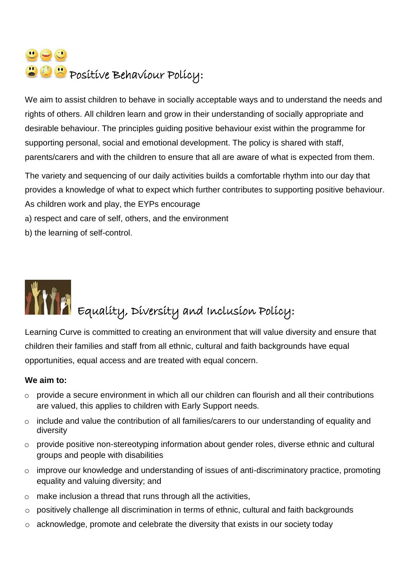# **Positive Behaviour Policy:**

We aim to assist children to behave in socially acceptable ways and to understand the needs and rights of others. All children learn and grow in their understanding of socially appropriate and desirable behaviour. The principles guiding positive behaviour exist within the programme for supporting personal, social and emotional development. The policy is shared with staff, parents/carers and with the children to ensure that all are aware of what is expected from them.

The variety and sequencing of our daily activities builds a comfortable rhythm into our day that provides a knowledge of what to expect which further contributes to supporting positive behaviour. As children work and play, the EYPs encourage

a) respect and care of self, others, and the environment

b) the learning of self-control.



Learning Curve is committed to creating an environment that will value diversity and ensure that children their families and staff from all ethnic, cultural and faith backgrounds have equal opportunities, equal access and are treated with equal concern.

#### **We aim to:**

- o provide a secure environment in which all our children can flourish and all their contributions are valued, this applies to children with Early Support needs.
- o include and value the contribution of all families/carers to our understanding of equality and diversity
- o provide positive non-stereotyping information about gender roles, diverse ethnic and cultural groups and people with disabilities
- o improve our knowledge and understanding of issues of anti-discriminatory practice, promoting equality and valuing diversity; and
- $\circ$  make inclusion a thread that runs through all the activities,
- o positively challenge all discrimination in terms of ethnic, cultural and faith backgrounds
- o acknowledge, promote and celebrate the diversity that exists in our society today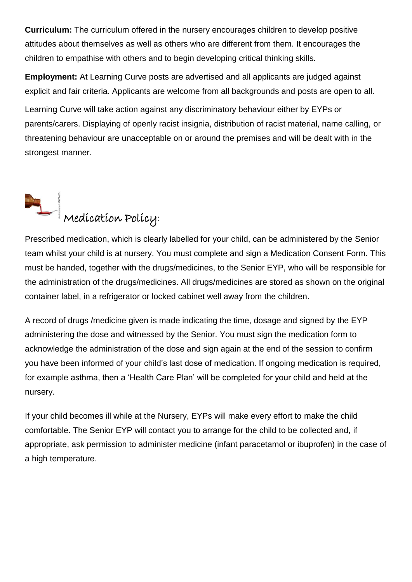**Curriculum:** The curriculum offered in the nursery encourages children to develop positive attitudes about themselves as well as others who are different from them. It encourages the children to empathise with others and to begin developing critical thinking skills.

**Employment:** At Learning Curve posts are advertised and all applicants are judged against explicit and fair criteria. Applicants are welcome from all backgrounds and posts are open to all.

Learning Curve will take action against any discriminatory behaviour either by EYPs or parents/carers. Displaying of openly racist insignia, distribution of racist material, name calling, or threatening behaviour are unacceptable on or around the premises and will be dealt with in the strongest manner.



Prescribed medication, which is clearly labelled for your child, can be administered by the Senior team whilst your child is at nursery. You must complete and sign a Medication Consent Form. This must be handed, together with the drugs/medicines, to the Senior EYP, who will be responsible for the administration of the drugs/medicines. All drugs/medicines are stored as shown on the original container label, in a refrigerator or locked cabinet well away from the children.

A record of drugs /medicine given is made indicating the time, dosage and signed by the EYP administering the dose and witnessed by the Senior. You must sign the medication form to acknowledge the administration of the dose and sign again at the end of the session to confirm you have been informed of your child's last dose of medication. If ongoing medication is required, for example asthma, then a 'Health Care Plan' will be completed for your child and held at the nursery.

If your child becomes ill while at the Nursery, EYPs will make every effort to make the child comfortable. The Senior EYP will contact you to arrange for the child to be collected and, if appropriate, ask permission to administer medicine (infant paracetamol or ibuprofen) in the case of a high temperature.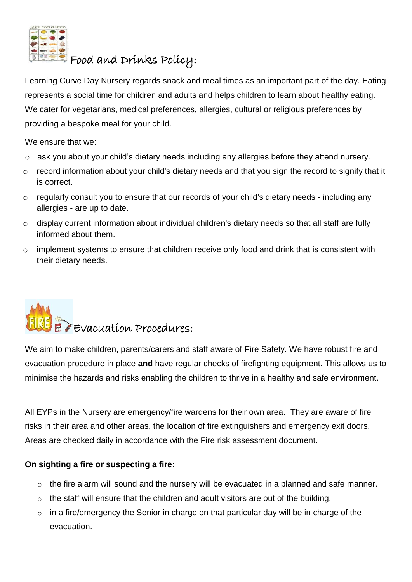

### Food and Drinks Policy:

Learning Curve Day Nursery regards snack and meal times as an important part of the day. Eating represents a social time for children and adults and helps children to learn about healthy eating. We cater for vegetarians, medical preferences, allergies, cultural or religious preferences by providing a bespoke meal for your child.

We ensure that we:

- o ask you about your child's dietary needs including any allergies before they attend nursery.
- o record information about your child's dietary needs and that you sign the record to signify that it is correct.
- o regularly consult you to ensure that our records of your child's dietary needs including any allergies - are up to date.
- o display current information about individual children's dietary needs so that all staff are fully informed about them.
- $\circ$  implement systems to ensure that children receive only food and drink that is consistent with their dietary needs.

# BEVacuation Procedures:

We aim to make children, parents/carers and staff aware of Fire Safety. We have robust fire and evacuation procedure in place **and** have regular checks of firefighting equipment*.* This allows us to minimise the hazards and risks enabling the children to thrive in a healthy and safe environment.

All EYPs in the Nursery are emergency/fire wardens for their own area. They are aware of fire risks in their area and other areas, the location of fire extinguishers and emergency exit doors. Areas are checked daily in accordance with the Fire risk assessment document.

#### **On sighting a fire or suspecting a fire:**

- $\circ$  the fire alarm will sound and the nursery will be evacuated in a planned and safe manner.
- $\circ$  the staff will ensure that the children and adult visitors are out of the building.
- $\circ$  in a fire/emergency the Senior in charge on that particular day will be in charge of the evacuation.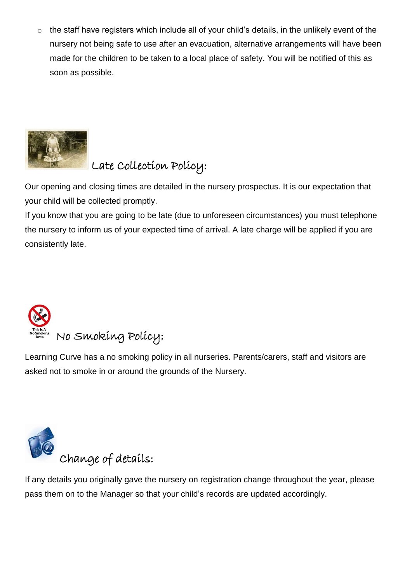o the staff have registers which include all of your child's details, in the unlikely event of the nursery not being safe to use after an evacuation, alternative arrangements will have been made for the children to be taken to a local place of safety. You will be notified of this as soon as possible.



### Late Collection Policy:

Our opening and closing times are detailed in the nursery prospectus. It is our expectation that your child will be collected promptly.

If you know that you are going to be late (due to unforeseen circumstances) you must telephone the nursery to inform us of your expected time of arrival. A late charge will be applied if you are consistently late.



Learning Curve has a no smoking policy in all nurseries. Parents/carers, staff and visitors are asked not to smoke in or around the grounds of the Nursery.



If any details you originally gave the nursery on registration change throughout the year, please pass them on to the Manager so that your child's records are updated accordingly.